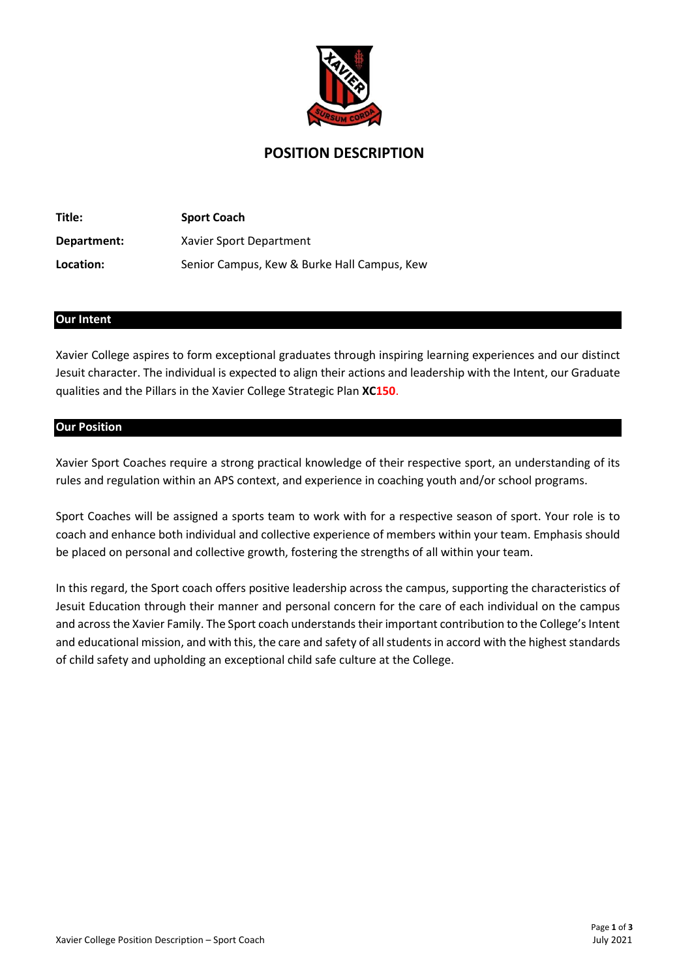

# POSITION DESCRIPTION

| Title:      | <b>Sport Coach</b>                          |
|-------------|---------------------------------------------|
| Department: | Xavier Sport Department                     |
| Location:   | Senior Campus, Kew & Burke Hall Campus, Kew |

## Our Intent

Xavier College aspires to form exceptional graduates through inspiring learning experiences and our distinct Jesuit character. The individual is expected to align their actions and leadership with the Intent, our Graduate qualities and the Pillars in the Xavier College Strategic Plan XC150.

#### Our Position

Xavier Sport Coaches require a strong practical knowledge of their respective sport, an understanding of its rules and regulation within an APS context, and experience in coaching youth and/or school programs.

Sport Coaches will be assigned a sports team to work with for a respective season of sport. Your role is to coach and enhance both individual and collective experience of members within your team. Emphasis should be placed on personal and collective growth, fostering the strengths of all within your team.

In this regard, the Sport coach offers positive leadership across the campus, supporting the characteristics of Jesuit Education through their manner and personal concern for the care of each individual on the campus and across the Xavier Family. The Sport coach understands their important contribution to the College's Intent and educational mission, and with this, the care and safety of all students in accord with the highest standards of child safety and upholding an exceptional child safe culture at the College.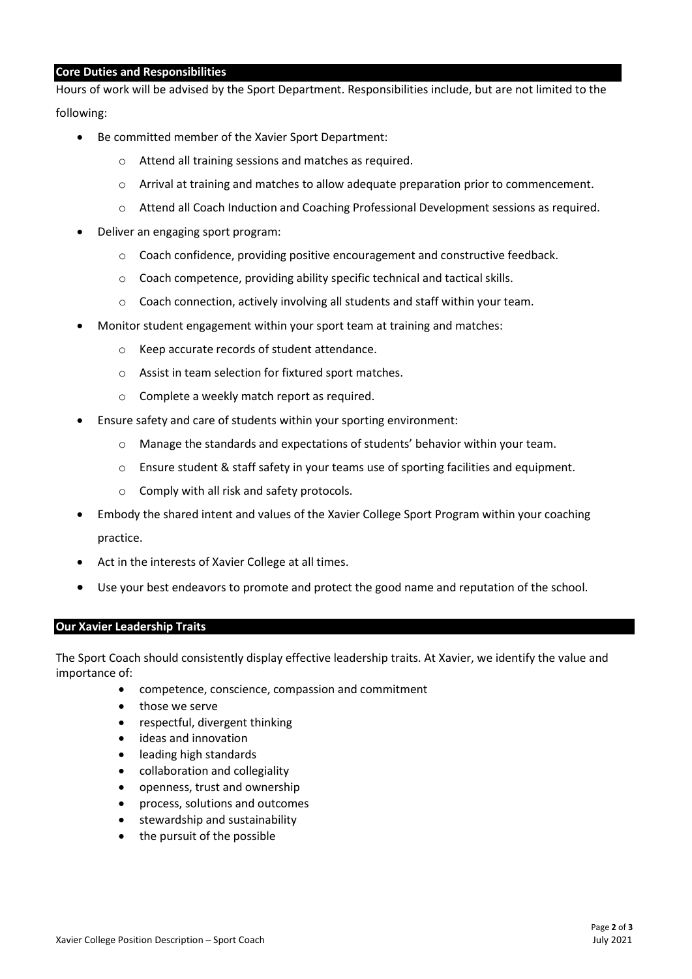## Core Duties and Responsibilities

Hours of work will be advised by the Sport Department. Responsibilities include, but are not limited to the following:

- Be committed member of the Xavier Sport Department:
	- o Attend all training sessions and matches as required.
	- o Arrival at training and matches to allow adequate preparation prior to commencement.
	- o Attend all Coach Induction and Coaching Professional Development sessions as required.
- Deliver an engaging sport program:
	- o Coach confidence, providing positive encouragement and constructive feedback.
	- o Coach competence, providing ability specific technical and tactical skills.
	- o Coach connection, actively involving all students and staff within your team.
- Monitor student engagement within your sport team at training and matches:
	- o Keep accurate records of student attendance.
	- o Assist in team selection for fixtured sport matches.
	- o Complete a weekly match report as required.
- Ensure safety and care of students within your sporting environment:
	- o Manage the standards and expectations of students' behavior within your team.
	- o Ensure student & staff safety in your teams use of sporting facilities and equipment.
	- o Comply with all risk and safety protocols.
- Embody the shared intent and values of the Xavier College Sport Program within your coaching practice.
- Act in the interests of Xavier College at all times.
- Use your best endeavors to promote and protect the good name and reputation of the school.

## Our Xavier Leadership Traits

The Sport Coach should consistently display effective leadership traits. At Xavier, we identify the value and importance of:

- competence, conscience, compassion and commitment
- those we serve
- respectful, divergent thinking
- ideas and innovation
- leading high standards
- collaboration and collegiality
- openness, trust and ownership
- process, solutions and outcomes
- stewardship and sustainability
- the pursuit of the possible